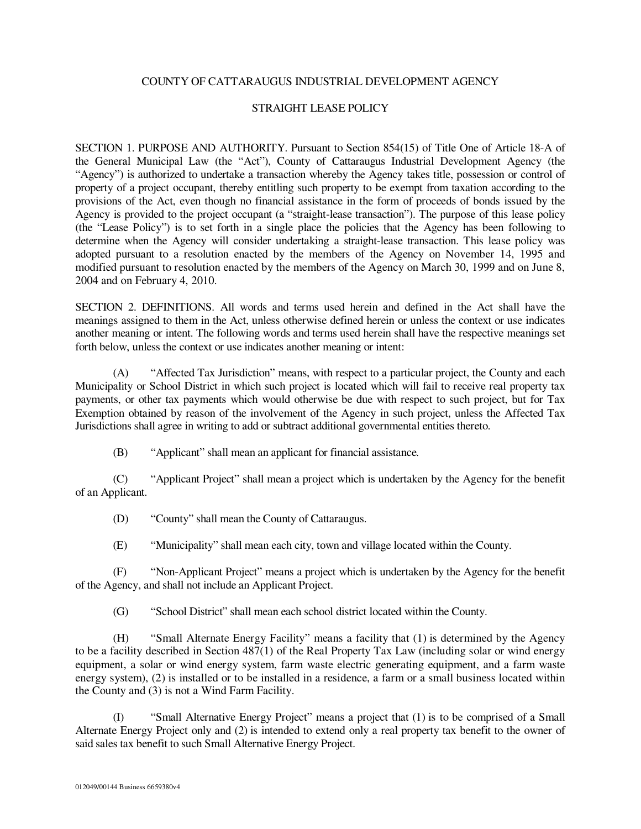## COUNTY OF CATTARAUGUS INDUSTRIAL DEVELOPMENT AGENCY

## STRAIGHT LEASE POLICY

SECTION 1. PURPOSE AND AUTHORITY. Pursuant to Section 854(15) of Title One of Article 18-A of the General Municipal Law (the "Act"), County of Cattaraugus Industrial Development Agency (the "Agency") is authorized to undertake a transaction whereby the Agency takes title, possession or control of property of a project occupant, thereby entitling such property to be exempt from taxation according to the provisions of the Act, even though no financial assistance in the form of proceeds of bonds issued by the Agency is provided to the project occupant (a "straight-lease transaction"). The purpose of this lease policy (the "Lease Policy") is to set forth in a single place the policies that the Agency has been following to determine when the Agency will consider undertaking a straight-lease transaction. This lease policy was adopted pursuant to a resolution enacted by the members of the Agency on November 14, 1995 and modified pursuant to resolution enacted by the members of the Agency on March 30, 1999 and on June 8, 2004 and on February 4, 2010.

SECTION 2. DEFINITIONS. All words and terms used herein and defined in the Act shall have the meanings assigned to them in the Act, unless otherwise defined herein or unless the context or use indicates another meaning or intent. The following words and terms used herein shall have the respective meanings set forth below, unless the context or use indicates another meaning or intent:

(A) "Affected Tax Jurisdiction" means, with respect to a particular project, the County and each Municipality or School District in which such project is located which will fail to receive real property tax payments, or other tax payments which would otherwise be due with respect to such project, but for Tax Exemption obtained by reason of the involvement of the Agency in such project, unless the Affected Tax Jurisdictions shall agree in writing to add or subtract additional governmental entities thereto.

(B) "Applicant" shall mean an applicant for financial assistance.

(C) "Applicant Project" shall mean a project which is undertaken by the Agency for the benefit of an Applicant.

(D) "County" shall mean the County of Cattaraugus.

(E) "Municipality" shall mean each city, town and village located within the County.

(F) "Non-Applicant Project" means a project which is undertaken by the Agency for the benefit of the Agency, and shall not include an Applicant Project.

(G) "School District" shall mean each school district located within the County.

(H) "Small Alternate Energy Facility" means a facility that (1) is determined by the Agency to be a facility described in Section 487(1) of the Real Property Tax Law (including solar or wind energy equipment, a solar or wind energy system, farm waste electric generating equipment, and a farm waste energy system), (2) is installed or to be installed in a residence, a farm or a small business located within the County and (3) is not a Wind Farm Facility.

(I) "Small Alternative Energy Project" means a project that (1) is to be comprised of a Small Alternate Energy Project only and (2) is intended to extend only a real property tax benefit to the owner of said sales tax benefit to such Small Alternative Energy Project.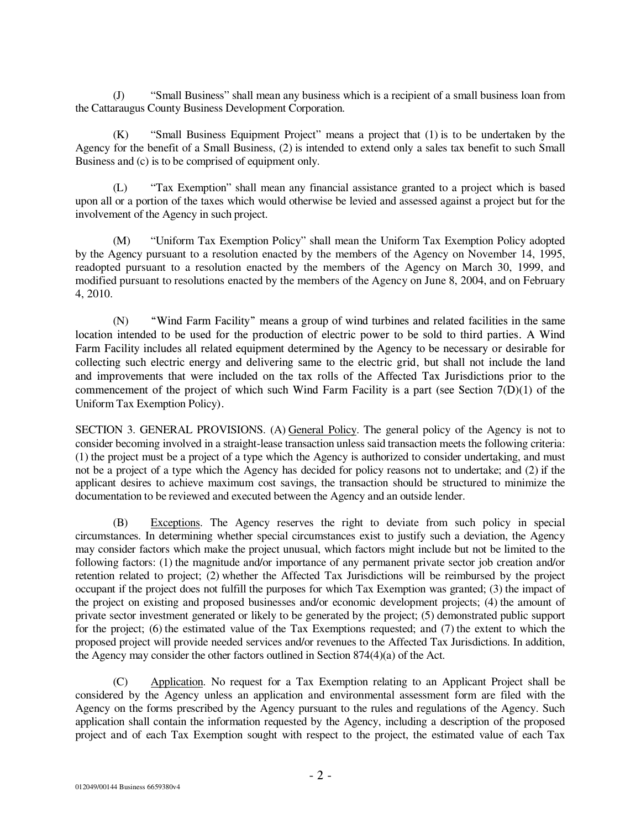(J) "Small Business" shall mean any business which is a recipient of a small business loan from the Cattaraugus County Business Development Corporation.

(K) "Small Business Equipment Project" means a project that (1) is to be undertaken by the Agency for the benefit of a Small Business, (2) is intended to extend only a sales tax benefit to such Small Business and (c) is to be comprised of equipment only.

(L) "Tax Exemption" shall mean any financial assistance granted to a project which is based upon all or a portion of the taxes which would otherwise be levied and assessed against a project but for the involvement of the Agency in such project.

(M) "Uniform Tax Exemption Policy" shall mean the Uniform Tax Exemption Policy adopted by the Agency pursuant to a resolution enacted by the members of the Agency on November 14, 1995, readopted pursuant to a resolution enacted by the members of the Agency on March 30, 1999, and modified pursuant to resolutions enacted by the members of the Agency on June 8, 2004, and on February 4, 2010.

(N) "Wind Farm Facility" means a group of wind turbines and related facilities in the same location intended to be used for the production of electric power to be sold to third parties. A Wind Farm Facility includes all related equipment determined by the Agency to be necessary or desirable for collecting such electric energy and delivering same to the electric grid, but shall not include the land and improvements that were included on the tax rolls of the Affected Tax Jurisdictions prior to the commencement of the project of which such Wind Farm Facility is a part (see Section  $7(D)(1)$ ) of the Uniform Tax Exemption Policy)

SECTION 3. GENERAL PROVISIONS. (A) General Policy. The general policy of the Agency is not to consider becoming involved in a straight-lease transaction unless said transaction meets the following criteria: (1) the project must be a project of a type which the Agency is authorized to consider undertaking, and must not be a project of a type which the Agency has decided for policy reasons not to undertake; and (2) if the applicant desires to achieve maximum cost savings, the transaction should be structured to minimize the documentation to be reviewed and executed between the Agency and an outside lender.

(B) Exceptions. The Agency reserves the right to deviate from such policy in special circumstances. In determining whether special circumstances exist to justify such a deviation, the Agency may consider factors which make the project unusual, which factors might include but not be limited to the following factors: (1) the magnitude and/or importance of any permanent private sector job creation and/or retention related to project; (2) whether the Affected Tax Jurisdictions will be reimbursed by the project occupant if the project does not fulfill the purposes for which Tax Exemption was granted; (3) the impact of the project on existing and proposed businesses and/or economic development projects; (4) the amount of private sector investment generated or likely to be generated by the project; (5) demonstrated public support for the project; (6) the estimated value of the Tax Exemptions requested; and (7) the extent to which the proposed project will provide needed services and/or revenues to the Affected Tax Jurisdictions. In addition, the Agency may consider the other factors outlined in Section 874(4)(a) of the Act.

(C) Application. No request for a Tax Exemption relating to an Applicant Project shall be considered by the Agency unless an application and environmental assessment form are filed with the Agency on the forms prescribed by the Agency pursuant to the rules and regulations of the Agency. Such application shall contain the information requested by the Agency, including a description of the proposed project and of each Tax Exemption sought with respect to the project, the estimated value of each Tax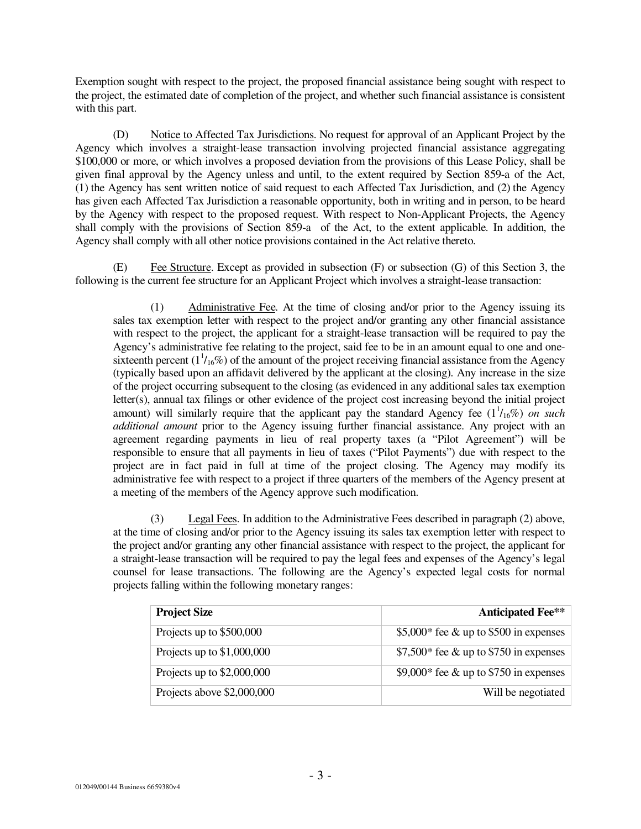Exemption sought with respect to the project, the proposed financial assistance being sought with respect to the project, the estimated date of completion of the project, and whether such financial assistance is consistent with this part.

(D) Notice to Affected Tax Jurisdictions. No request for approval of an Applicant Project by the Agency which involves a straight-lease transaction involving projected financial assistance aggregating \$100,000 or more, or which involves a proposed deviation from the provisions of this Lease Policy, shall be given final approval by the Agency unless and until, to the extent required by Section 859-a of the Act, (1) the Agency has sent written notice of said request to each Affected Tax Jurisdiction, and (2) the Agency has given each Affected Tax Jurisdiction a reasonable opportunity, both in writing and in person, to be heard by the Agency with respect to the proposed request. With respect to Non-Applicant Projects, the Agency shall comply with the provisions of Section 859-a of the Act, to the extent applicable. In addition, the Agency shall comply with all other notice provisions contained in the Act relative thereto.

(E) Fee Structure. Except as provided in subsection (F) or subsection (G) of this Section 3, the following is the current fee structure for an Applicant Project which involves a straight-lease transaction:

(1) Administrative Fee. At the time of closing and/or prior to the Agency issuing its sales tax exemption letter with respect to the project and/or granting any other financial assistance with respect to the project, the applicant for a straight-lease transaction will be required to pay the Agency's administrative fee relating to the project, said fee to be in an amount equal to one and onesixteenth percent  $(1^{1}/_{16}\%)$  of the amount of the project receiving financial assistance from the Agency (typically based upon an affidavit delivered by the applicant at the closing). Any increase in the size of the project occurring subsequent to the closing (as evidenced in any additional sales tax exemption letter(s), annual tax filings or other evidence of the project cost increasing beyond the initial project amount) will similarly require that the applicant pay the standard Agency fee  $(1<sup>1</sup>/16\%)$  on such *additional amount* prior to the Agency issuing further financial assistance. Any project with an agreement regarding payments in lieu of real property taxes (a "Pilot Agreement") will be responsible to ensure that all payments in lieu of taxes ("Pilot Payments") due with respect to the project are in fact paid in full at time of the project closing. The Agency may modify its administrative fee with respect to a project if three quarters of the members of the Agency present at a meeting of the members of the Agency approve such modification.

(3) Legal Fees. In addition to the Administrative Fees described in paragraph (2) above, at the time of closing and/or prior to the Agency issuing its sales tax exemption letter with respect to the project and/or granting any other financial assistance with respect to the project, the applicant for a straight-lease transaction will be required to pay the legal fees and expenses of the Agency's legal counsel for lease transactions. The following are the Agency's expected legal costs for normal projects falling within the following monetary ranges:

| <b>Project Size</b>         | <b>Anticipated Fee**</b>               |
|-----------------------------|----------------------------------------|
| Projects up to \$500,000    | \$5,000* fee & up to \$500 in expenses |
| Projects up to $$1,000,000$ | \$7,500* fee & up to \$750 in expenses |
| Projects up to $$2,000,000$ | \$9,000* fee & up to \$750 in expenses |
| Projects above \$2,000,000  | Will be negotiated                     |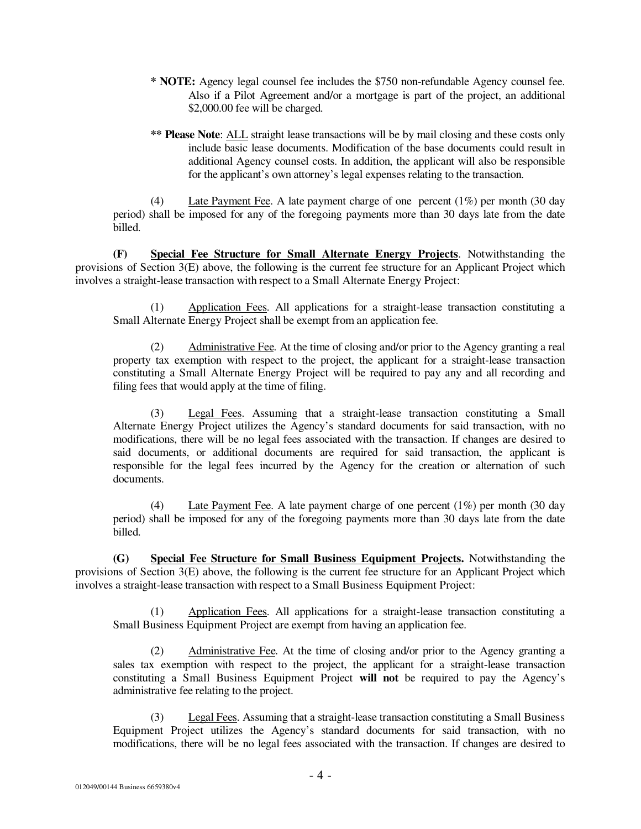- **\* NOTE:** Agency legal counsel fee includes the \$750 non-refundable Agency counsel fee. Also if a Pilot Agreement and/or a mortgage is part of the project, an additional \$2,000.00 fee will be charged.
- \*\* Please Note: **ALL** straight lease transactions will be by mail closing and these costs only include basic lease documents. Modification of the base documents could result in additional Agency counsel costs. In addition, the applicant will also be responsible for the applicant's own attorney's legal expenses relating to the transaction.

(4) Late Payment Fee. A late payment charge of one percent (1%) per month (30 day period) shall be imposed for any of the foregoing payments more than 30 days late from the date billed.

**(F) Special Fee Structure for Small Alternate Energy Projects**. Notwithstanding the provisions of Section 3(E) above, the following is the current fee structure for an Applicant Project which involves a straight-lease transaction with respect to a Small Alternate Energy Project:

(1) Application Fees. All applications for a straight-lease transaction constituting a Small Alternate Energy Project shall be exempt from an application fee.

(2) Administrative Fee. At the time of closing and/or prior to the Agency granting a real property tax exemption with respect to the project, the applicant for a straight-lease transaction constituting a Small Alternate Energy Project will be required to pay any and all recording and filing fees that would apply at the time of filing.

(3) Legal Fees. Assuming that a straight-lease transaction constituting a Small Alternate Energy Project utilizes the Agency's standard documents for said transaction, with no modifications, there will be no legal fees associated with the transaction. If changes are desired to said documents, or additional documents are required for said transaction, the applicant is responsible for the legal fees incurred by the Agency for the creation or alternation of such documents.

Late Payment Fee. A late payment charge of one percent  $(1%)$  per month  $(30 \text{ day})$ period) shall be imposed for any of the foregoing payments more than 30 days late from the date billed.

**(G) Special Fee Structure for Small Business Equipment Projects.** Notwithstanding the provisions of Section 3(E) above, the following is the current fee structure for an Applicant Project which involves a straight-lease transaction with respect to a Small Business Equipment Project:

(1) Application Fees. All applications for a straight-lease transaction constituting a Small Business Equipment Project are exempt from having an application fee.

(2) Administrative Fee. At the time of closing and/or prior to the Agency granting a sales tax exemption with respect to the project, the applicant for a straight-lease transaction constituting a Small Business Equipment Project **will not** be required to pay the Agency's administrative fee relating to the project.

(3) Legal Fees. Assuming that a straight-lease transaction constituting a Small Business Equipment Project utilizes the Agency's standard documents for said transaction, with no modifications, there will be no legal fees associated with the transaction. If changes are desired to